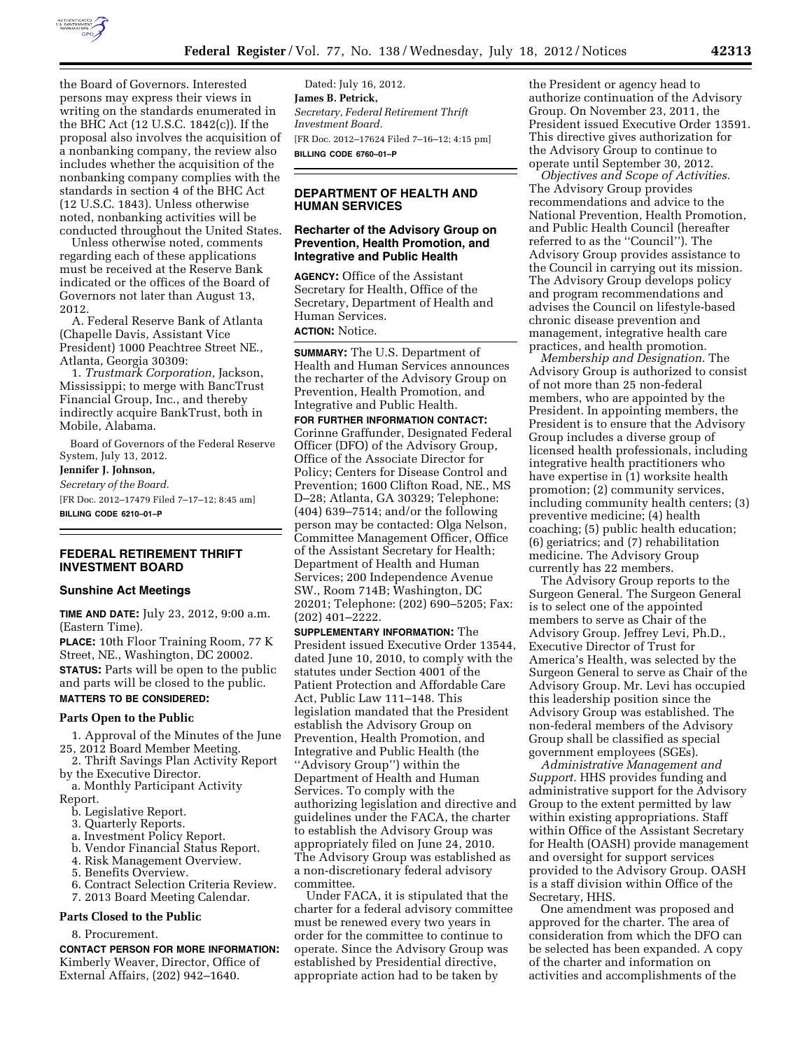

the Board of Governors. Interested persons may express their views in writing on the standards enumerated in the BHC Act (12 U.S.C. 1842(c)). If the proposal also involves the acquisition of a nonbanking company, the review also includes whether the acquisition of the nonbanking company complies with the standards in section 4 of the BHC Act (12 U.S.C. 1843). Unless otherwise noted, nonbanking activities will be conducted throughout the United States.

Unless otherwise noted, comments regarding each of these applications must be received at the Reserve Bank indicated or the offices of the Board of Governors not later than August 13, 2012.

A. Federal Reserve Bank of Atlanta (Chapelle Davis, Assistant Vice President) 1000 Peachtree Street NE., Atlanta, Georgia 30309:

1. *Trustmark Corporation,* Jackson, Mississippi; to merge with BancTrust Financial Group, Inc., and thereby indirectly acquire BankTrust, both in Mobile, Alabama.

Board of Governors of the Federal Reserve System, July 13, 2012.

**Jennifer J. Johnson,** 

*Secretary of the Board.* 

[FR Doc. 2012–17479 Filed 7–17–12; 8:45 am] **BILLING CODE 6210–01–P** 

## **FEDERAL RETIREMENT THRIFT INVESTMENT BOARD**

### **Sunshine Act Meetings**

**TIME AND DATE:** July 23, 2012, 9:00 a.m. (Eastern Time).

**PLACE:** 10th Floor Training Room, 77 K Street, NE., Washington, DC 20002. **STATUS:** Parts will be open to the public and parts will be closed to the public. **MATTERS TO BE CONSIDERED:** 

#### **Parts Open to the Public**

1. Approval of the Minutes of the June 25, 2012 Board Member Meeting.

2. Thrift Savings Plan Activity Report by the Executive Director.

a. Monthly Participant Activity Report.

- b. Legislative Report.
- 3. Quarterly Reports.
- a. Investment Policy Report.
- b. Vendor Financial Status Report.
- 4. Risk Management Overview.
- 5. Benefits Overview.
- 6. Contract Selection Criteria Review.
- 7. 2013 Board Meeting Calendar.

#### **Parts Closed to the Public**

#### 8. Procurement.

**CONTACT PERSON FOR MORE INFORMATION:**  Kimberly Weaver, Director, Office of External Affairs, (202) 942–1640.

Dated: July 16, 2012. **James B. Petrick,**  *Secretary, Federal Retirement Thrift Investment Board.*  [FR Doc. 2012–17624 Filed 7–16–12; 4:15 pm] **BILLING CODE 6760–01–P** 

## **DEPARTMENT OF HEALTH AND HUMAN SERVICES**

### **Recharter of the Advisory Group on Prevention, Health Promotion, and Integrative and Public Health**

**AGENCY:** Office of the Assistant Secretary for Health, Office of the Secretary, Department of Health and Human Services.

# **ACTION:** Notice.

**SUMMARY:** The U.S. Department of Health and Human Services announces the recharter of the Advisory Group on Prevention, Health Promotion, and Integrative and Public Health.

**FOR FURTHER INFORMATION CONTACT:**  Corinne Graffunder, Designated Federal Officer (DFO) of the Advisory Group, Office of the Associate Director for Policy; Centers for Disease Control and Prevention; 1600 Clifton Road, NE., MS D–28; Atlanta, GA 30329; Telephone: (404) 639–7514; and/or the following person may be contacted: Olga Nelson, Committee Management Officer, Office of the Assistant Secretary for Health; Department of Health and Human Services; 200 Independence Avenue SW., Room 714B; Washington, DC 20201; Telephone: (202) 690–5205; Fax: (202) 401–2222.

**SUPPLEMENTARY INFORMATION:** The President issued Executive Order 13544, dated June 10, 2010, to comply with the statutes under Section 4001 of the Patient Protection and Affordable Care Act, Public Law 111–148. This legislation mandated that the President establish the Advisory Group on Prevention, Health Promotion, and Integrative and Public Health (the ''Advisory Group'') within the Department of Health and Human Services. To comply with the authorizing legislation and directive and guidelines under the FACA, the charter to establish the Advisory Group was appropriately filed on June 24, 2010. The Advisory Group was established as a non-discretionary federal advisory committee.

Under FACA, it is stipulated that the charter for a federal advisory committee must be renewed every two years in order for the committee to continue to operate. Since the Advisory Group was established by Presidential directive, appropriate action had to be taken by

the President or agency head to authorize continuation of the Advisory Group. On November 23, 2011, the President issued Executive Order 13591. This directive gives authorization for the Advisory Group to continue to operate until September 30, 2012.

*Objectives and Scope of Activities.*  The Advisory Group provides recommendations and advice to the National Prevention, Health Promotion, and Public Health Council (hereafter referred to as the ''Council''). The Advisory Group provides assistance to the Council in carrying out its mission. The Advisory Group develops policy and program recommendations and advises the Council on lifestyle-based chronic disease prevention and management, integrative health care practices, and health promotion.

*Membership and Designation.* The Advisory Group is authorized to consist of not more than 25 non-federal members, who are appointed by the President. In appointing members, the President is to ensure that the Advisory Group includes a diverse group of licensed health professionals, including integrative health practitioners who have expertise in (1) worksite health promotion; (2) community services, including community health centers; (3) preventive medicine; (4) health coaching; (5) public health education; (6) geriatrics; and (7) rehabilitation medicine. The Advisory Group currently has 22 members.

The Advisory Group reports to the Surgeon General. The Surgeon General is to select one of the appointed members to serve as Chair of the Advisory Group. Jeffrey Levi, Ph.D., Executive Director of Trust for America's Health, was selected by the Surgeon General to serve as Chair of the Advisory Group. Mr. Levi has occupied this leadership position since the Advisory Group was established. The non-federal members of the Advisory Group shall be classified as special government employees (SGEs).

*Administrative Management and Support.* HHS provides funding and administrative support for the Advisory Group to the extent permitted by law within existing appropriations. Staff within Office of the Assistant Secretary for Health (OASH) provide management and oversight for support services provided to the Advisory Group. OASH is a staff division within Office of the Secretary, HHS.

One amendment was proposed and approved for the charter. The area of consideration from which the DFO can be selected has been expanded. A copy of the charter and information on activities and accomplishments of the